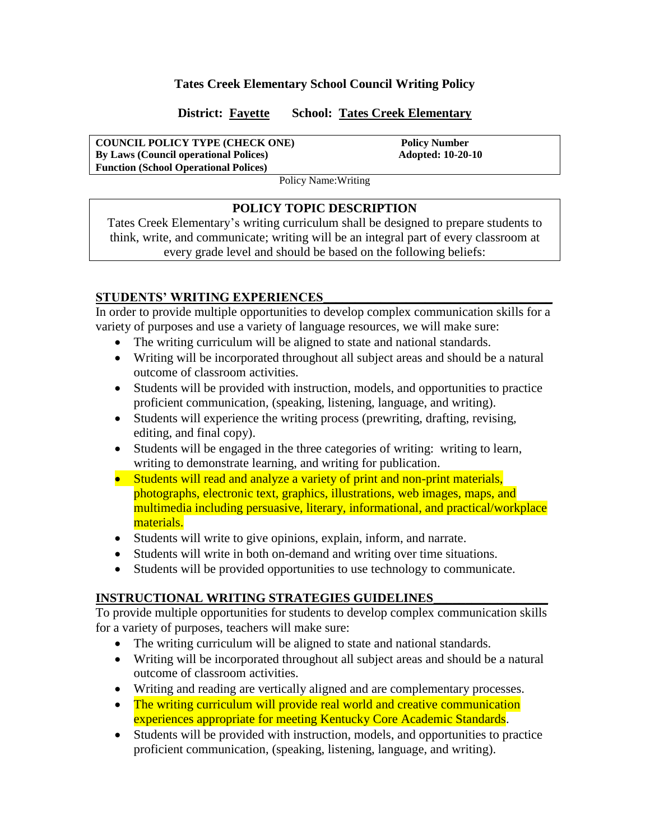### **Tates Creek Elementary School Council Writing Policy**

### **District: Fayette School: Tates Creek Elementary**

#### **COUNCIL POLICY TYPE (CHECK ONE)** Policy Number **By Laws (Council operational Polices)** Adopted: 10-20-10 **Function (School Operational Polices)**

Policy Name:Writing

### **POLICY TOPIC DESCRIPTION**

Tates Creek Elementary's writing curriculum shall be designed to prepare students to think, write, and communicate; writing will be an integral part of every classroom at every grade level and should be based on the following beliefs:

## **STUDENTS' WRITING EXPERIENCES**\_\_\_\_\_\_\_\_\_\_\_\_\_\_\_\_\_\_\_\_\_\_\_\_\_\_\_\_\_\_\_\_\_\_\_\_

In order to provide multiple opportunities to develop complex communication skills for a variety of purposes and use a variety of language resources, we will make sure:

- The writing curriculum will be aligned to state and national standards.
- Writing will be incorporated throughout all subject areas and should be a natural outcome of classroom activities.
- Students will be provided with instruction, models, and opportunities to practice proficient communication, (speaking, listening, language, and writing).
- Students will experience the writing process (prewriting, drafting, revising, editing, and final copy).
- Students will be engaged in the three categories of writing: writing to learn, writing to demonstrate learning, and writing for publication.
- Students will read and analyze a variety of print and non-print materials, photographs, electronic text, graphics, illustrations, web images, maps, and multimedia including persuasive, literary, informational, and practical/workplace materials.
- Students will write to give opinions, explain, inform, and narrate.
- Students will write in both on-demand and writing over time situations.
- Students will be provided opportunities to use technology to communicate.

# **INSTRUCTIONAL WRITING STRATEGIES GUIDELINES**\_\_\_\_\_\_\_\_\_\_\_\_\_\_\_\_\_\_

To provide multiple opportunities for students to develop complex communication skills for a variety of purposes, teachers will make sure:

- The writing curriculum will be aligned to state and national standards.
- Writing will be incorporated throughout all subject areas and should be a natural outcome of classroom activities.
- Writing and reading are vertically aligned and are complementary processes.
- The writing curriculum will provide real world and creative communication experiences appropriate for meeting Kentucky Core Academic Standards.
- Students will be provided with instruction, models, and opportunities to practice proficient communication, (speaking, listening, language, and writing).